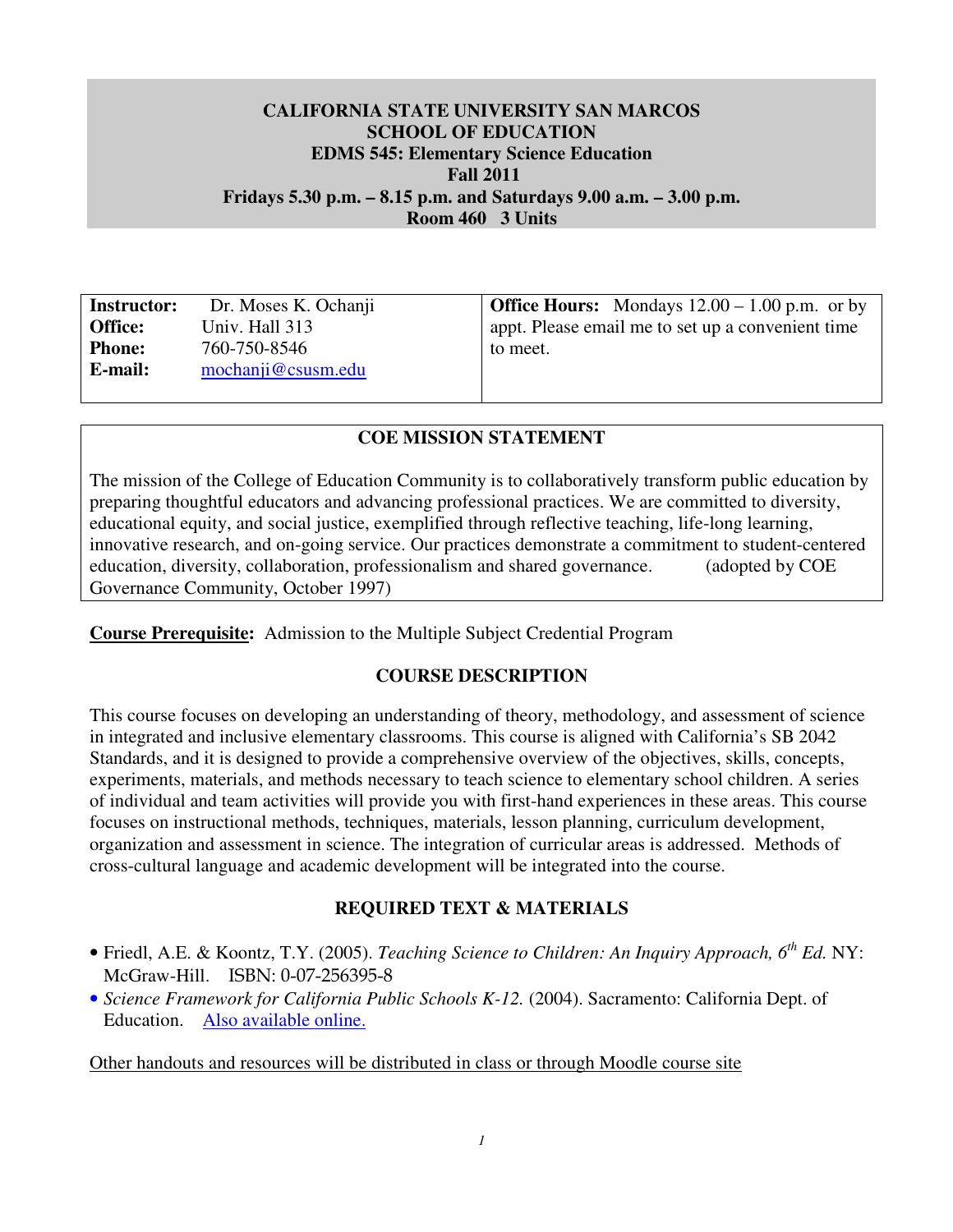## **CALIFORNIA STATE UNIVERSITY SAN MARCOS SCHOOL OF EDUCATION EDMS 545: Elementary Science Education Fall 2011 Fridays 5.30 p.m. – 8.15 p.m. and Saturdays 9.00 a.m. – 3.00 p.m. Room 460 3 Units**

**Instructor:** Office: Phone: E-mail: 760-750-8546 **E-mail:** mochanji@csusm.edu

**Instructor:** Dr. Moses K. Ochanji **Office Hours:** Mondays 12.00 – 1.00 p.m. or by **Office:** Univ. Hall 313 appt. Please email me to set up a convenient time to meet.

## **COE MISSION STATEMENT**

 The mission of the College of Education Community is to collaboratively transform public education by preparing thoughtful educators and advancing professional practices. We are committed to diversity, educational equity, and social justice, exemplified through reflective teaching, life-long learning, innovative research, and on-going service. Our practices demonstrate a commitment to student-centered education, diversity, collaboration, professionalism and shared governance. (adopted by COE Governance Community, October 1997)

 **Course Prerequisite:** Admission to the Multiple Subject Credential Program

## **COURSE DESCRIPTION**

 This course focuses on developing an understanding of theory, methodology, and assessment of science in integrated and inclusive elementary classrooms. This course is aligned with California's SB 2042 Standards, and it is designed to provide a comprehensive overview of the objectives, skills, concepts, experiments, materials, and methods necessary to teach science to elementary school children. A series of individual and team activities will provide you with first-hand experiences in these areas. This course focuses on instructional methods, techniques, materials, lesson planning, curriculum development, organization and assessment in science. The integration of curricular areas is addressed. Methods of cross-cultural language and academic development will be integrated into the course.

# **REQUIRED TEXT & MATERIALS**

- • Friedl, A.E. & Koontz, T.Y. (2005). *Teaching Science to Children: An Inquiry Approach, 6th Ed.* NY: McGraw-Hill. ISBN: 0-07-256395-8
- *Science Framework for California Public Schools K-12.* (2004). Sacramento: California Dept. of Education. Also available online.

Other handouts and resources will be distributed in class or through Moodle course site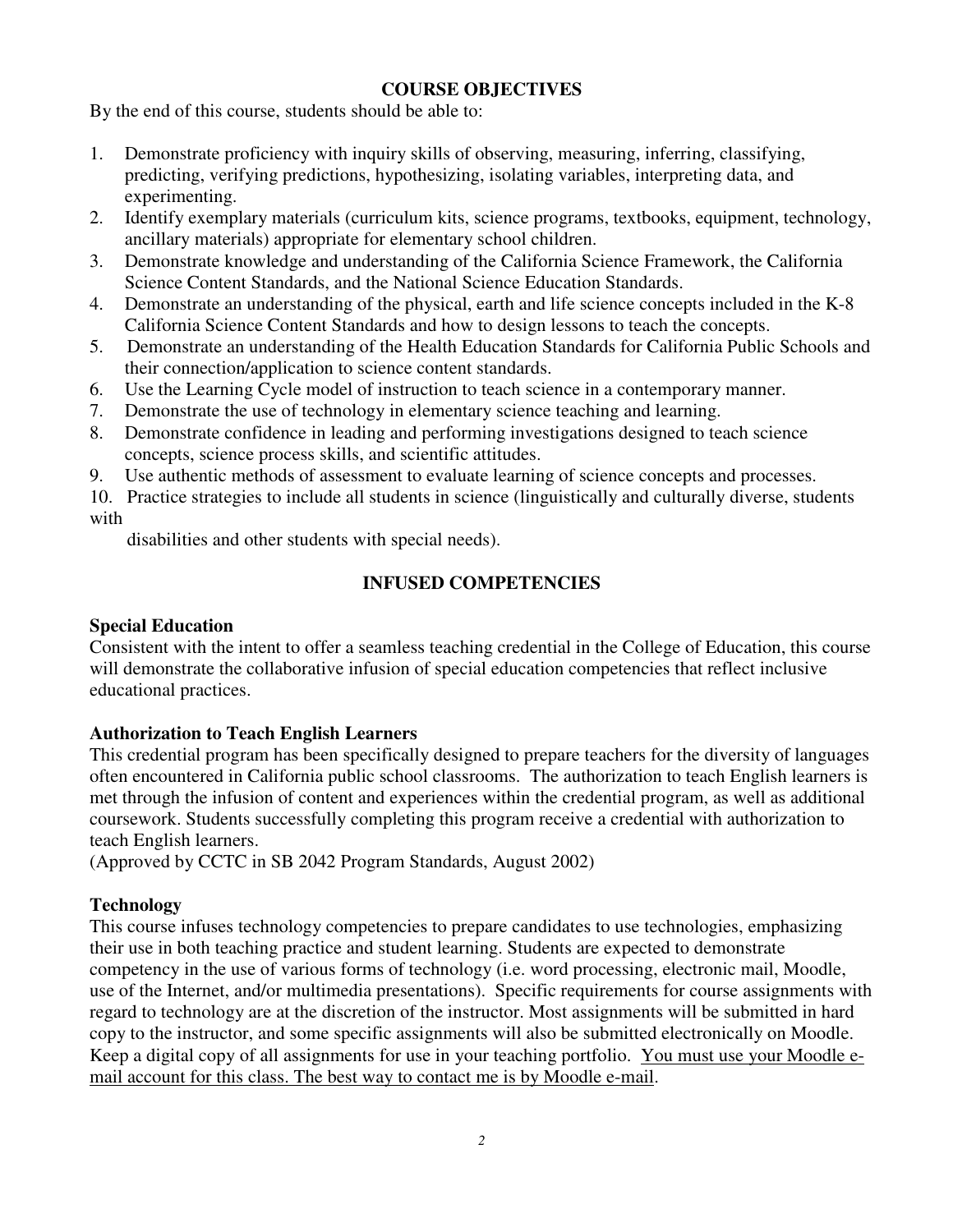## **COURSE OBJECTIVES**

By the end of this course, students should be able to:

- 1. Demonstrate proficiency with inquiry skills of observing, measuring, inferring, classifying, predicting, verifying predictions, hypothesizing, isolating variables, interpreting data, and experimenting.
- 2. ancillary materials) appropriate for elementary school children. Identify exemplary materials (curriculum kits, science programs, textbooks, equipment, technology,
- 3. Demonstrate knowledge and understanding of the California Science Framework, the California Science Content Standards, and the National Science Education Standards.
- 4. Demonstrate an understanding of the physical, earth and life science concepts included in the K-8 California Science Content Standards and how to design lessons to teach the concepts.
- $5.$  their connection/application to science content standards. Demonstrate an understanding of the Health Education Standards for California Public Schools and
- 6. Use the Learning Cycle model of instruction to teach science in a contemporary manner.
- 7. Demonstrate the use of technology in elementary science teaching and learning.
- 8. Demonstrate confidence in leading and performing investigations designed to teach science concepts, science process skills, and scientific attitudes.
- 9. Use authentic methods of assessment to evaluate learning of science concepts and processes.
- 10. Practice strategies to include all students in science (linguistically and culturally diverse, students with

disabilities and other students with special needs).

# **INFUSED COMPETENCIES**

## **Special Education**

 Consistent with the intent to offer a seamless teaching credential in the College of Education, this course will demonstrate the collaborative infusion of special education competencies that reflect inclusive educational practices.

## **Authorization to Teach English Learners**

 This credential program has been specifically designed to prepare teachers for the diversity of languages often encountered in California public school classrooms. The authorization to teach English learners is met through the infusion of content and experiences within the credential program, as well as additional coursework. Students successfully completing this program receive a credential with authorization to teach English learners.

(Approved by CCTC in SB 2042 Program Standards, August 2002)

# **Technology**

 This course infuses technology competencies to prepare candidates to use technologies, emphasizing their use in both teaching practice and student learning. Students are expected to demonstrate competency in the use of various forms of technology (i.e. word processing, electronic mail, Moodle, use of the Internet, and/or multimedia presentations). Specific requirements for course assignments with regard to technology are at the discretion of the instructor. Most assignments will be submitted in hard copy to the instructor, and some specific assignments will also be submitted electronically on Moodle. Keep a digital copy of all assignments for use in your teaching portfolio. You must use your Moodle email account for this class. The best way to contact me is by Moodle e-mail.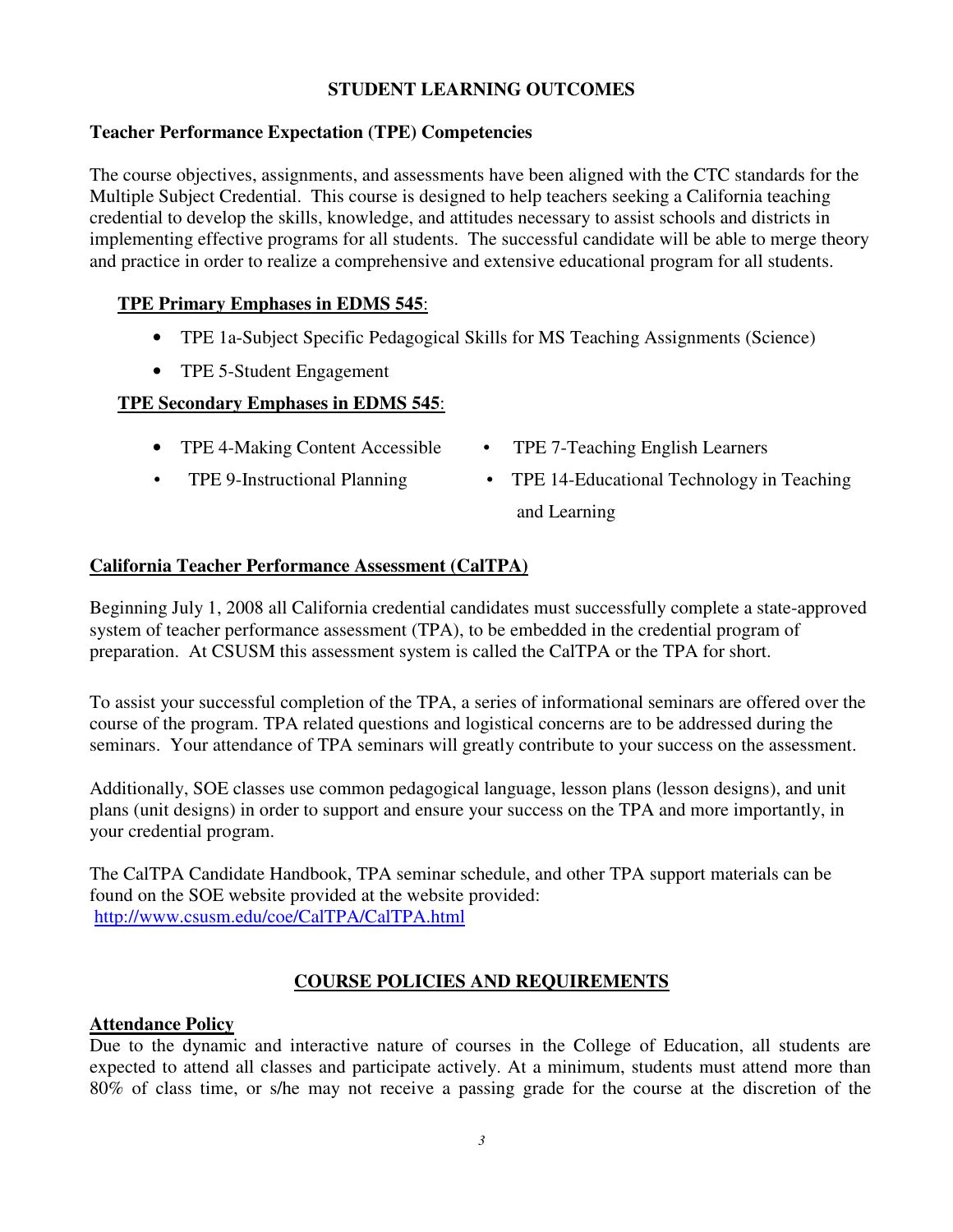## **STUDENT LEARNING OUTCOMES**

## **Teacher Performance Expectation (TPE) Competencies**

 The course objectives, assignments, and assessments have been aligned with the CTC standards for the Multiple Subject Credential. This course is designed to help teachers seeking a California teaching credential to develop the skills, knowledge, and attitudes necessary to assist schools and districts in implementing effective programs for all students. The successful candidate will be able to merge theory and practice in order to realize a comprehensive and extensive educational program for all students.

## **TPE Primary Emphases in EDMS 545**:

- TPE 1a-Subject Specific Pedagogical Skills for MS Teaching Assignments (Science)
- TPE 5-Student Engagement

## **TPE Secondary Emphases in EDMS 545**:

- TPE 4-Making Content Accessible TPE 7-Teaching English Learners
- TPE 9-Instructional Planning
- 
- and Learning • TPE 14-Educational Technology in Teaching

## **California Teacher Performance Assessment (CalTPA)**

 Beginning July 1, 2008 all California credential candidates must successfully complete a state-approved system of teacher performance assessment (TPA), to be embedded in the credential program of preparation. At CSUSM this assessment system is called the CalTPA or the TPA for short.

 To assist your successful completion of the TPA, a series of informational seminars are offered over the course of the program. TPA related questions and logistical concerns are to be addressed during the seminars. Your attendance of TPA seminars will greatly contribute to your success on the assessment.

 Additionally, SOE classes use common pedagogical language, lesson plans (lesson designs), and unit plans (unit designs) in order to support and ensure your success on the TPA and more importantly, in your credential program.

 The CalTPA Candidate Handbook, TPA seminar schedule, and other TPA support materials can be found on the SOE website provided at the website provided: http://www.csusm.edu/coe/CalTPA/CalTPA.html

## **COURSE POLICIES AND REQUIREMENTS**

#### **Attendance Policy**

 Due to the dynamic and interactive nature of courses in the College of Education, all students are expected to attend all classes and participate actively. At a minimum, students must attend more than 80% of class time, or s/he may not receive a passing grade for the course at the discretion of the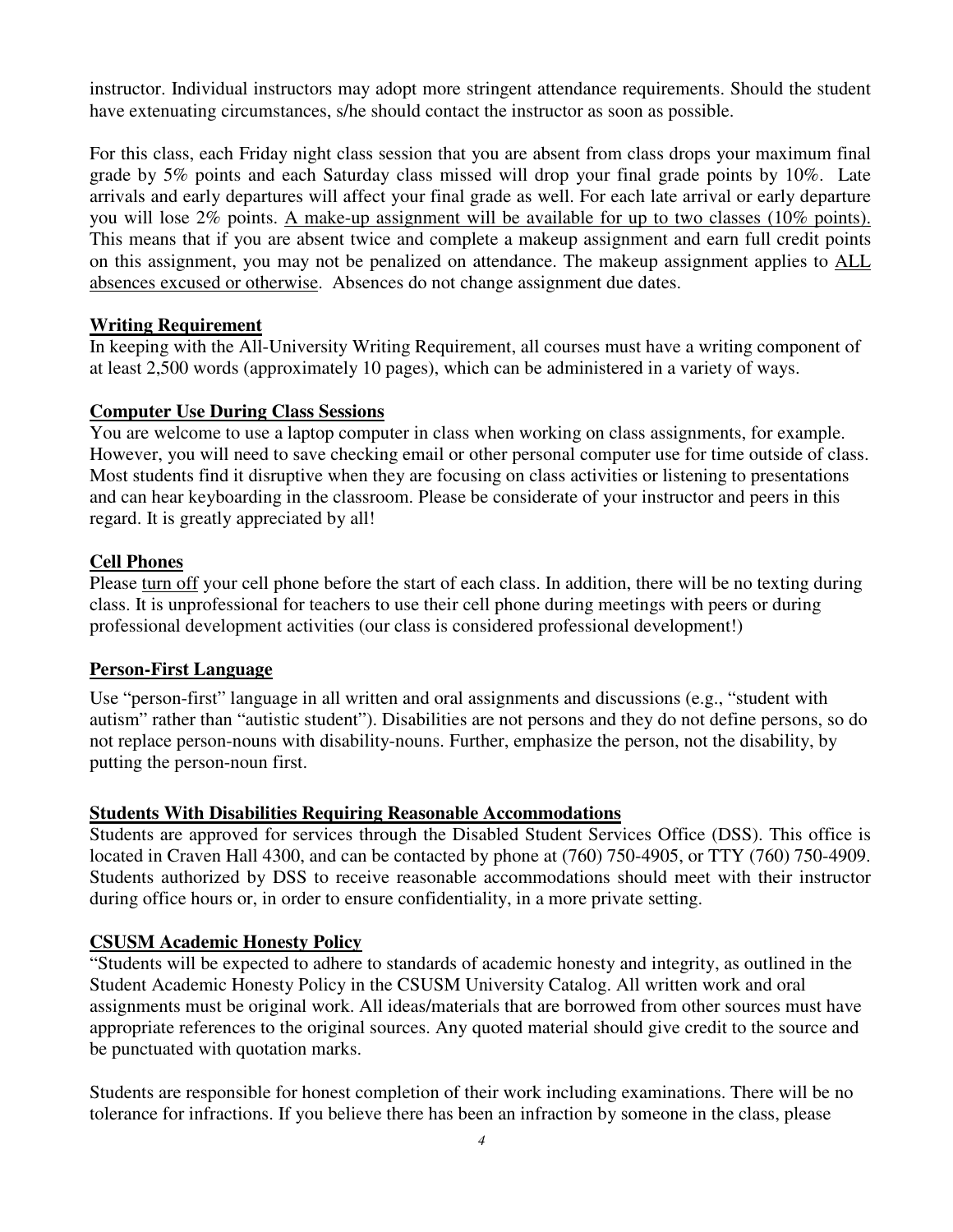instructor. Individual instructors may adopt more stringent attendance requirements. Should the student have extenuating circumstances, s/he should contact the instructor as soon as possible.

 For this class, each Friday night class session that you are absent from class drops your maximum final grade by 5% points and each Saturday class missed will drop your final grade points by 10%. Late arrivals and early departures will affect your final grade as well. For each late arrival or early departure you will lose 2% points. A make-up assignment will be available for up to two classes (10% points). This means that if you are absent twice and complete a makeup assignment and earn full credit points on this assignment, you may not be penalized on attendance. The makeup assignment applies to **ALL** absences excused or otherwise. Absences do not change assignment due dates.

## **Writing Requirement**

 In keeping with the All-University Writing Requirement, all courses must have a writing component of at least 2,500 words (approximately 10 pages), which can be administered in a variety of ways.

## **Computer Use During Class Sessions**

 You are welcome to use a laptop computer in class when working on class assignments, for example. However, you will need to save checking email or other personal computer use for time outside of class. Most students find it disruptive when they are focusing on class activities or listening to presentations and can hear keyboarding in the classroom. Please be considerate of your instructor and peers in this regard. It is greatly appreciated by all!

## **Cell Phones**

Please turn off your cell phone before the start of each class. In addition, there will be no texting during class. It is unprofessional for teachers to use their cell phone during meetings with peers or during professional development activities (our class is considered professional development!)

## **Person-First Language**

 Use "person-first" language in all written and oral assignments and discussions (e.g., "student with autism" rather than "autistic student"). Disabilities are not persons and they do not define persons, so do not replace person-nouns with disability-nouns. Further, emphasize the person, not the disability, by putting the person-noun first.

# **Students With Disabilities Requiring Reasonable Accommodations**

 Students are approved for services through the Disabled Student Services Office (DSS). This office is located in Craven Hall 4300, and can be contacted by phone at (760) 750-4905, or TTY (760) 750-4909. Students authorized by DSS to receive reasonable accommodations should meet with their instructor during office hours or, in order to ensure confidentiality, in a more private setting.

# **CSUSM Academic Honesty Policy**

 "Students will be expected to adhere to standards of academic honesty and integrity, as outlined in the Student Academic Honesty Policy in the CSUSM University Catalog. All written work and oral assignments must be original work. All ideas/materials that are borrowed from other sources must have appropriate references to the original sources. Any quoted material should give credit to the source and be punctuated with quotation marks.

 Students are responsible for honest completion of their work including examinations. There will be no tolerance for infractions. If you believe there has been an infraction by someone in the class, please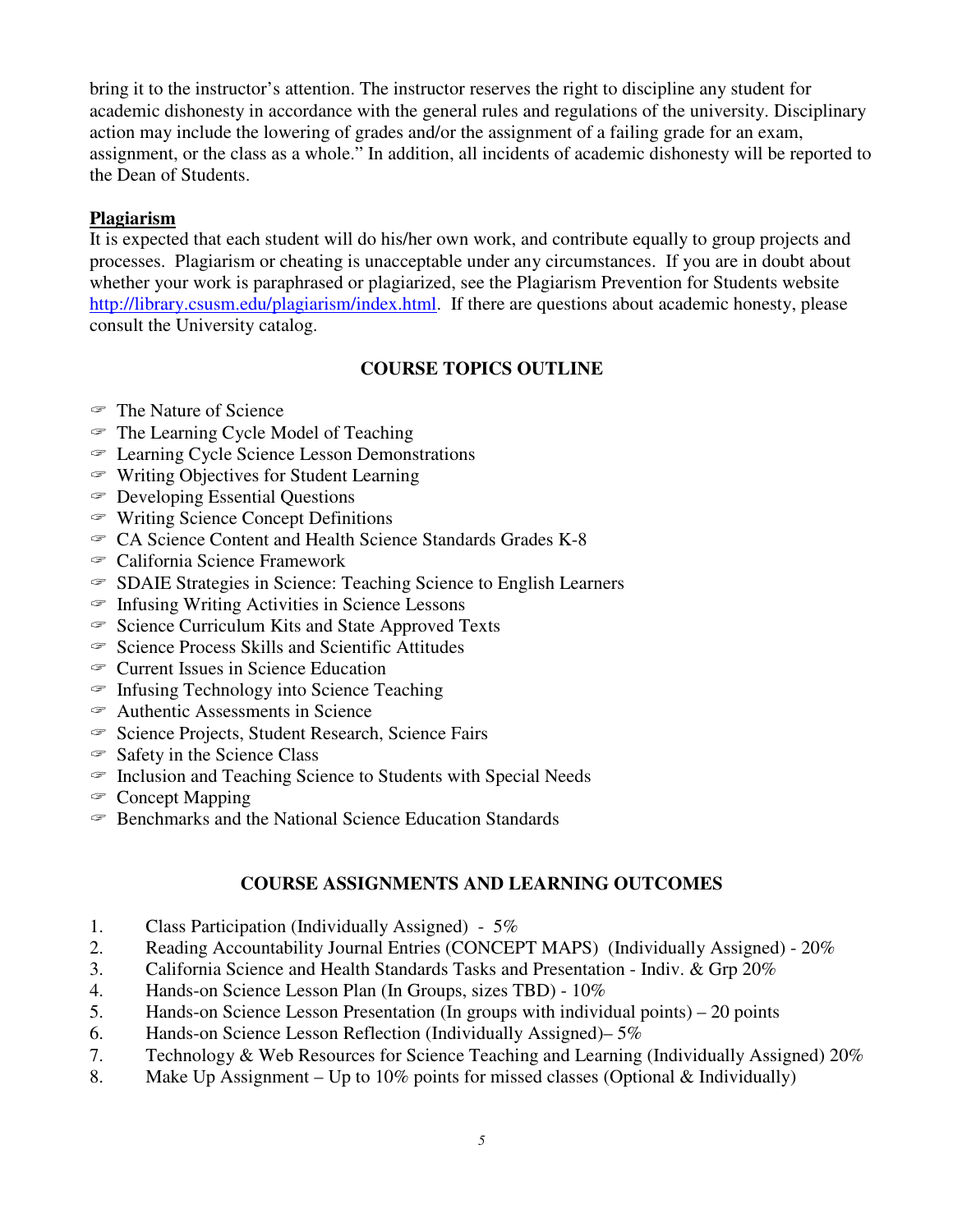bring it to the instructor's attention. The instructor reserves the right to discipline any student for academic dishonesty in accordance with the general rules and regulations of the university. Disciplinary action may include the lowering of grades and/or the assignment of a failing grade for an exam, assignment, or the class as a whole." In addition, all incidents of academic dishonesty will be reported to the Dean of Students.

### **Plagiarism**

 It is expected that each student will do his/her own work, and contribute equally to group projects and processes. Plagiarism or cheating is unacceptable under any circumstances. If you are in doubt about whether your work is paraphrased or plagiarized, see the Plagiarism Prevention for Students website http://library.csusm.edu/plagiarism/index.html. If there are questions about academic honesty, please consult the University catalog.

## **COURSE TOPICS OUTLINE**

- The Nature of Science
- $\mathcal F$  The Learning Cycle Model of Teaching
- c Learning Cycle Science Lesson Demonstrations
- $\textcircled{F}$  Writing Objectives for Student Learning
- $\in$  Developing Essential Questions
- $\in$  Writing Science Concept Definitions
- $\textdegree$  CA Science Content and Health Science Standards Grades K-8
- c California Science Framework
- c SDAIE Strategies in Science: Teaching Science to English Learners
- $\subseteq$  Infusing Writing Activities in Science Lessons
- $\degree$  Science Curriculum Kits and State Approved Texts
- $\in$  Science Process Skills and Scientific Attitudes
- $\in$  Current Issues in Science Education
- $\in$  Infusing Technology into Science Teaching
- $\in$  Authentic Assessments in Science
- <sup>S</sup> Science Projects, Student Research, Science Fairs
- $\in$  Safety in the Science Class
- $\epsilon$  Inclusion and Teaching Science to Students with Special Needs
- <sup>c</sup> Concept Mapping
- $\epsilon$  Benchmarks and the National Science Education Standards

#### **COURSE ASSIGNMENTS AND LEARNING OUTCOMES**

- 1. Class Participation (Individually Assigned) 5%
- 2. Reading Accountability Journal Entries (CONCEPT MAPS) (Individually Assigned) 20%
- 3. California Science and Health Standards Tasks and Presentation Indiv. & Grp 20%
- 4. Hands-on Science Lesson Plan (In Groups, sizes TBD) 10%
- 5. Hands-on Science Lesson Presentation (In groups with individual points) 20 points
- 6. Hands-on Science Lesson Reflection (Individually Assigned)– 5%
- 7. Technology & Web Resources for Science Teaching and Learning (Individually Assigned) 20%
- 8. Make Up Assignment Up to 10% points for missed classes (Optional & Individually)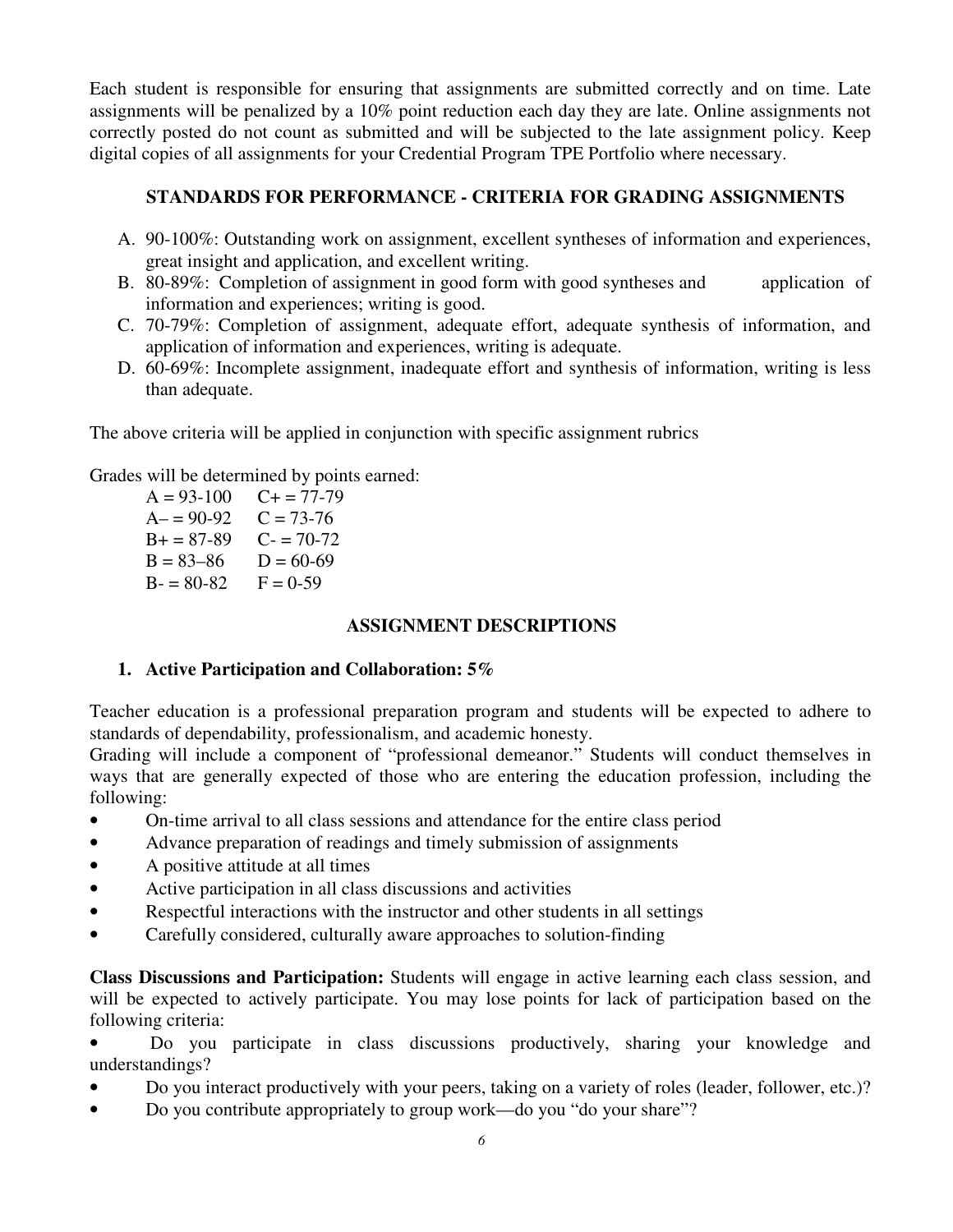Each student is responsible for ensuring that assignments are submitted correctly and on time. Late assignments will be penalized by a 10% point reduction each day they are late. Online assignments not correctly posted do not count as submitted and will be subjected to the late assignment policy. Keep digital copies of all assignments for your Credential Program TPE Portfolio where necessary.

## **STANDARDS FOR PERFORMANCE - CRITERIA FOR GRADING ASSIGNMENTS**

- A. 90-100%: Outstanding work on assignment, excellent syntheses of information and experiences, great insight and application, and excellent writing.
- B. 80-89%: Completion of assignment in good form with good syntheses and application of information and experiences; writing is good.
- C. 70-79%: Completion of assignment, adequate effort, adequate synthesis of information, and application of information and experiences, writing is adequate.
- D. 60-69%: Incomplete assignment, inadequate effort and synthesis of information, writing is less than adequate.

The above criteria will be applied in conjunction with specific assignment rubrics

Grades will be determined by points earned:

 $A = 93-100$  $A = 90-92$   $C = 73-76$  $B+ = 87-89$  C- = 70-72  $B = 83 - 86$   $D = 60 - 69$  $B - 80 - 82$   $F = 0 - 59$  $C+= 77-79$ 

### **ASSIGNMENT DESCRIPTIONS**

## **1. Active Participation and Collaboration: 5%**

 Teacher education is a professional preparation program and students will be expected to adhere to standards of dependability, professionalism, and academic honesty.

 Grading will include a component of "professional demeanor." Students will conduct themselves in ways that are generally expected of those who are entering the education profession, including the following:

- On-time arrival to all class sessions and attendance for the entire class period
- Advance preparation of readings and timely submission of assignments
- A positive attitude at all times
- Active participation in all class discussions and activities
- Respectful interactions with the instructor and other students in all settings
- Carefully considered, culturally aware approaches to solution-finding

 **Class Discussions and Participation:** Students will engage in active learning each class session, and will be expected to actively participate. You may lose points for lack of participation based on the following criteria:

 • Do you participate in class discussions productively, sharing your knowledge and understandings?

- Do you interact productively with your peers, taking on a variety of roles (leader, follower, etc.)?
- Do you contribute appropriately to group work—do you "do your share"?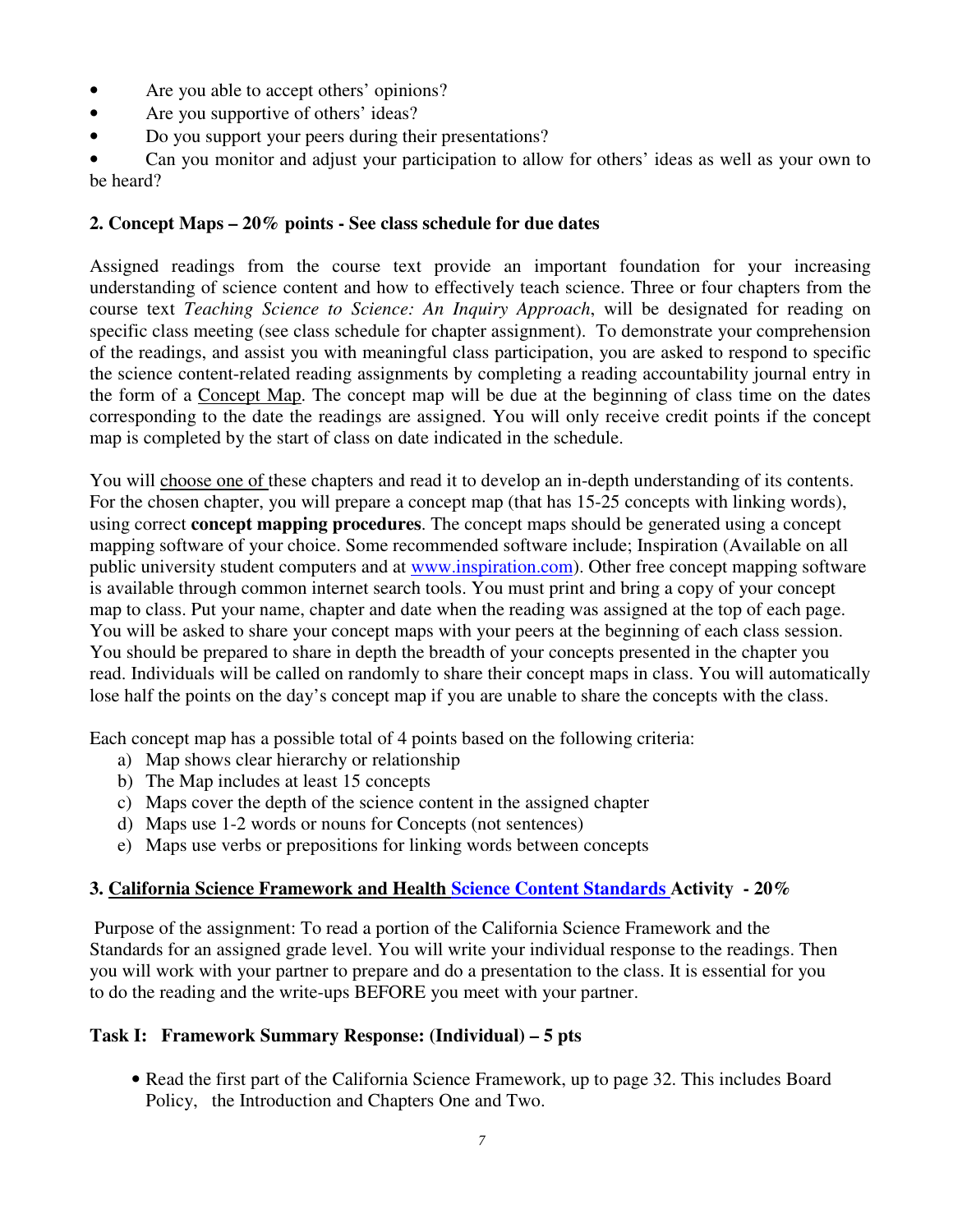- Are you able to accept others' opinions?
- Are you supportive of others' ideas?
- Do you support your peers during their presentations?

 • Can you monitor and adjust your participation to allow for others' ideas as well as your own to be heard?

#### **2. Concept Maps – 20% points - See class schedule for due dates**

 Assigned readings from the course text provide an important foundation for your increasing understanding of science content and how to effectively teach science. Three or four chapters from the course text *Teaching Science to Science: An Inquiry Approach*, will be designated for reading on specific class meeting (see class schedule for chapter assignment). To demonstrate your comprehension of the readings, and assist you with meaningful class participation, you are asked to respond to specific the science content-related reading assignments by completing a reading accountability journal entry in the form of a Concept Map. The concept map will be due at the beginning of class time on the dates corresponding to the date the readings are assigned. You will only receive credit points if the concept map is completed by the start of class on date indicated in the schedule.

You will choose one of these chapters and read it to develop an in-depth understanding of its contents. For the chosen chapter, you will prepare a concept map (that has 15-25 concepts with linking words), using correct **concept mapping procedures**. The concept maps should be generated using a concept mapping software of your choice. Some recommended software include; Inspiration (Available on all public university student computers and at **www.inspiration.com**). Other free concept mapping software is available through common internet search tools. You must print and bring a copy of your concept map to class. Put your name, chapter and date when the reading was assigned at the top of each page. You will be asked to share your concept maps with your peers at the beginning of each class session. You should be prepared to share in depth the breadth of your concepts presented in the chapter you read. Individuals will be called on randomly to share their concept maps in class. You will automatically lose half the points on the day's concept map if you are unable to share the concepts with the class.

Each concept map has a possible total of 4 points based on the following criteria:

- a) Map shows clear hierarchy or relationship
- b) The Map includes at least 15 concepts
- c) Maps cover the depth of the science content in the assigned chapter
- d) Maps use 1-2 words or nouns for Concepts (not sentences)
- e) Maps use verbs or prepositions for linking words between concepts

#### **3. California Science Framework and Health Science Content Standards Activity - 20%**

 Purpose of the assignment: To read a portion of the California Science Framework and the Standards for an assigned grade level. You will write your individual response to the readings. Then you will work with your partner to prepare and do a presentation to the class. It is essential for you to do the reading and the write-ups BEFORE you meet with your partner.

#### **Task I: Framework Summary Response: (Individual) – 5 pts**

 • Read the first part of the California Science Framework, up to page 32. This includes Board Policy, the Introduction and Chapters One and Two.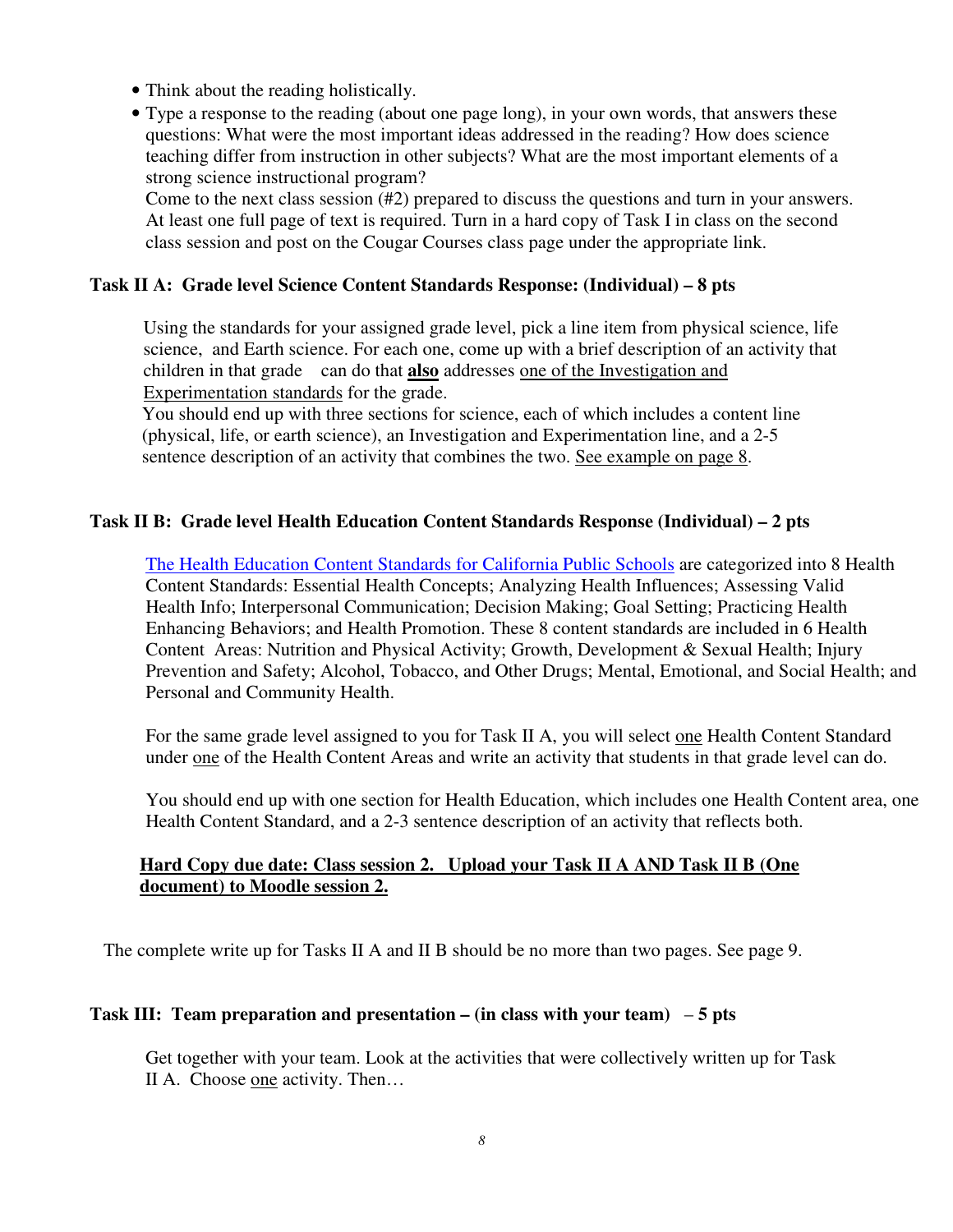- Think about the reading holistically.
- • Type a response to the reading (about one page long), in your own words, that answers these questions: What were the most important ideas addressed in the reading? How does science teaching differ from instruction in other subjects? What are the most important elements of a strong science instructional program?

 Come to the next class session (#2) prepared to discuss the questions and turn in your answers. At least one full page of text is required. Turn in a hard copy of Task I in class on the second class session and post on the Cougar Courses class page under the appropriate link.

### **Task II A: Grade level Science Content Standards Response: (Individual) – 8 pts**

 Using the standards for your assigned grade level, pick a line item from physical science, life science, and Earth science. For each one, come up with a brief description of an activity that children in that grade can do that **also** addresses one of the Investigation and Experimentation standards for the grade.

 You should end up with three sections for science, each of which includes a content line (physical, life, or earth science), an Investigation and Experimentation line, and a 2-5 sentence description of an activity that combines the two. See example on page 8.

### **Task II B: Grade level Health Education Content Standards Response (Individual) – 2 pts**

The Health Education Content Standards for California Public Schools are categorized into 8 Health Content Standards: Essential Health Concepts; Analyzing Health Influences; Assessing Valid Health Info; Interpersonal Communication; Decision Making; Goal Setting; Practicing Health Enhancing Behaviors; and Health Promotion. These 8 content standards are included in 6 Health Content Areas: Nutrition and Physical Activity; Growth, Development & Sexual Health; Injury Prevention and Safety; Alcohol, Tobacco, and Other Drugs; Mental, Emotional, and Social Health; and Personal and Community Health.

For the same grade level assigned to you for Task II A, you will select one Health Content Standard under one of the Health Content Areas and write an activity that students in that grade level can do.

 You should end up with one section for Health Education, which includes one Health Content area, one Health Content Standard, and a 2-3 sentence description of an activity that reflects both.

### **Hard Copy due date: Class session 2. Upload your Task II A AND Task II B (One document) to Moodle session 2.**

The complete write up for Tasks II A and II B should be no more than two pages. See page 9.

#### **Task III: Team preparation and presentation – (in class with your team)** – **5 pts**

 Get together with your team. Look at the activities that were collectively written up for Task II A. Choose one activity. Then...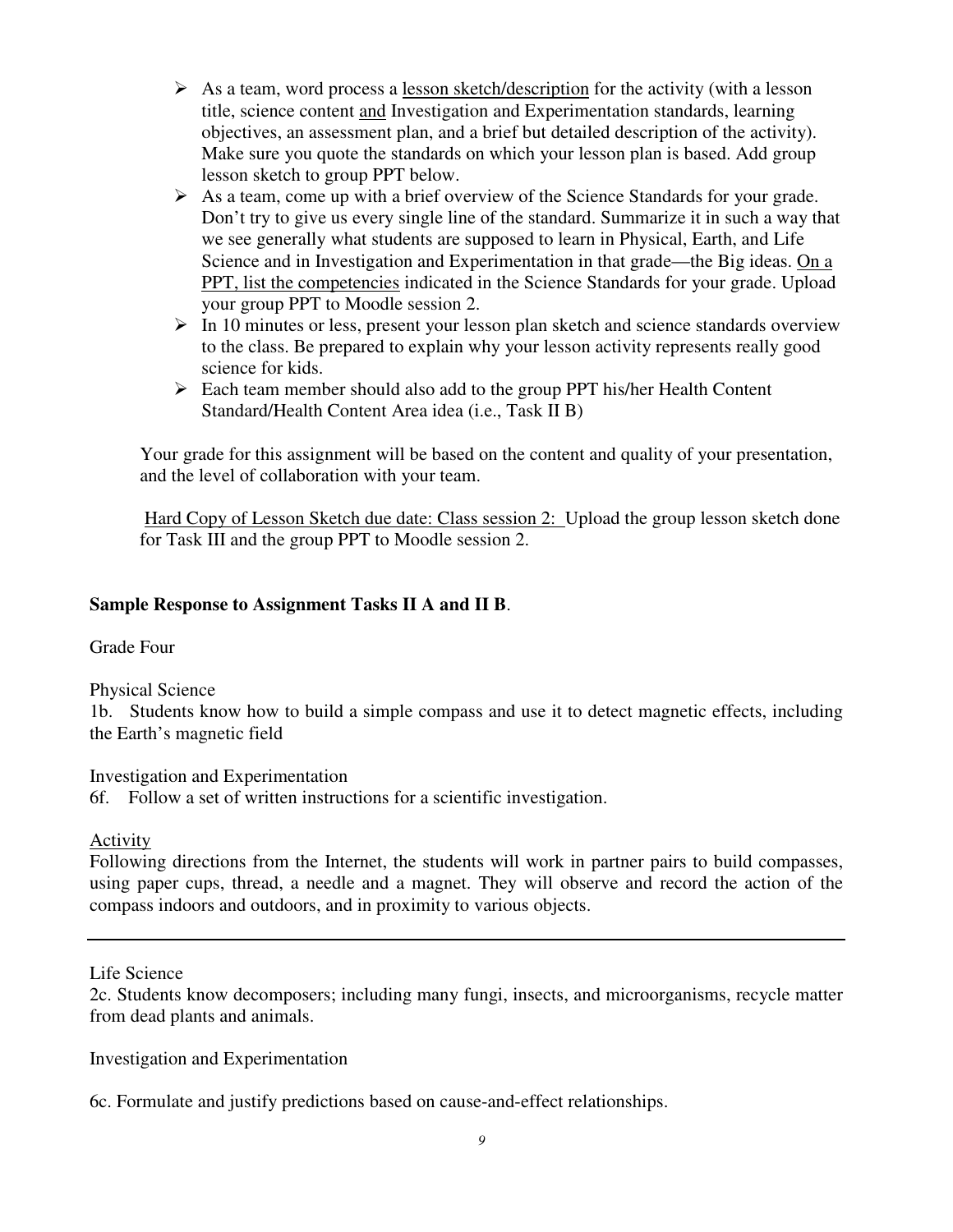- $\triangleright$  As a team, word process a lesson sketch/description for the activity (with a lesson title, science content and Investigation and Experimentation standards, learning objectives, an assessment plan, and a brief but detailed description of the activity). Make sure you quote the standards on which your lesson plan is based. Add group lesson sketch to group PPT below.
- $\triangleright$  As a team, come up with a brief overview of the Science Standards for your grade. Don't try to give us every single line of the standard. Summarize it in such a way that we see generally what students are supposed to learn in Physical, Earth, and Life Science and in Investigation and Experimentation in that grade—the Big ideas. On a PPT, list the competencies indicated in the Science Standards for your grade. Upload your group PPT to Moodle session 2.
- $\triangleright$  In 10 minutes or less, present your lesson plan sketch and science standards overview to the class. Be prepared to explain why your lesson activity represents really good science for kids.
- $\triangleright$  Each team member should also add to the group PPT his/her Health Content Standard/Health Content Area idea (i.e., Task II B)

 Your grade for this assignment will be based on the content and quality of your presentation, and the level of collaboration with your team.

Hard Copy of Lesson Sketch due date: Class session 2: Upload the group lesson sketch done for Task III and the group PPT to Moodle session 2.

## **Sample Response to Assignment Tasks II A and II B**.

Grade Four

Physical Science

 1b. Students know how to build a simple compass and use it to detect magnetic effects, including the Earth's magnetic field

 Investigation and Experimentation 6f. Follow a set of written instructions for a scientific investigation.

Activity

 Following directions from the Internet, the students will work in partner pairs to build compasses, using paper cups, thread, a needle and a magnet. They will observe and record the action of the compass indoors and outdoors, and in proximity to various objects.

Life Science

 2c. Students know decomposers; including many fungi, insects, and microorganisms, recycle matter from dead plants and animals.

Investigation and Experimentation

6c. Formulate and justify predictions based on cause-and-effect relationships.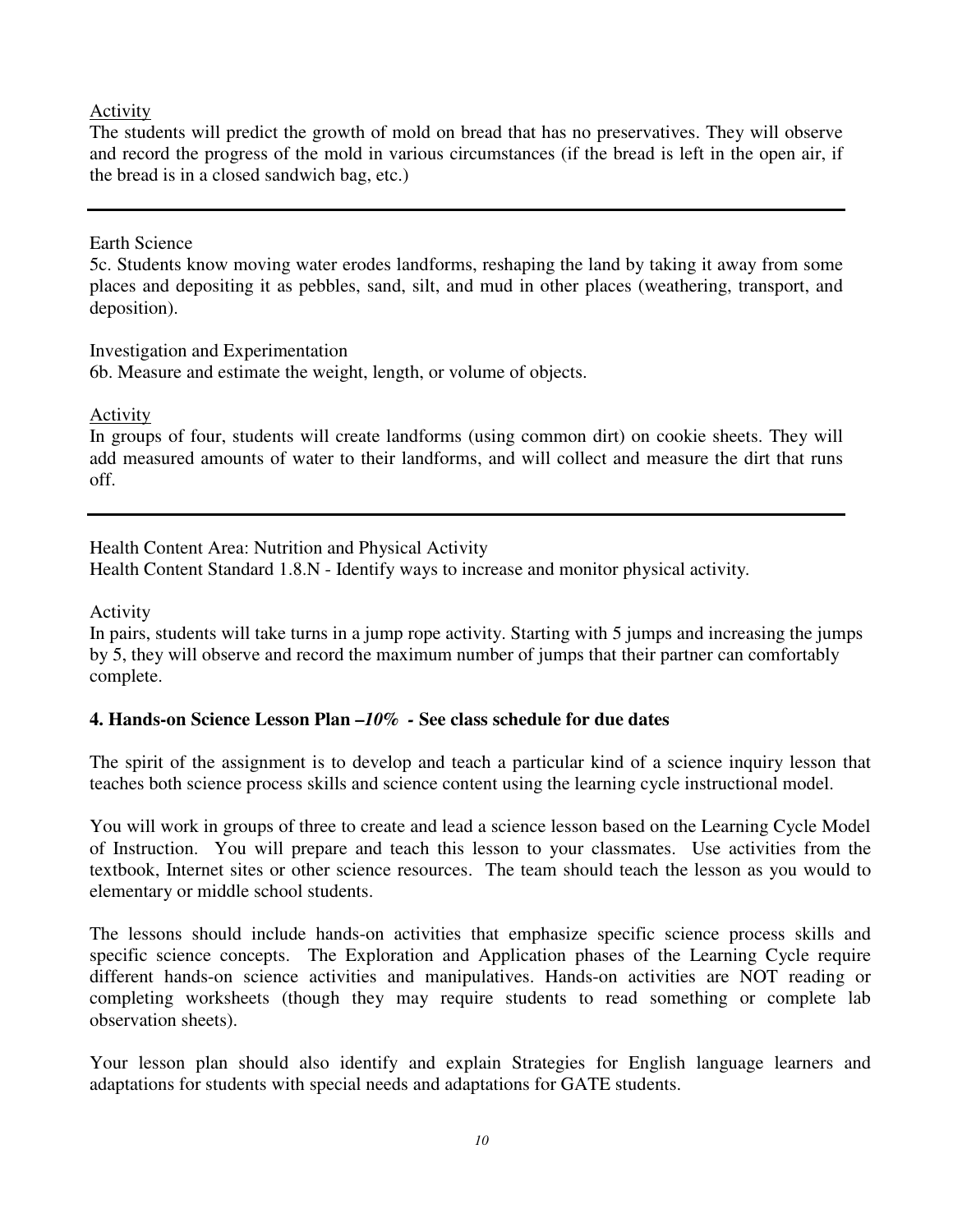### Activity

 The students will predict the growth of mold on bread that has no preservatives. They will observe and record the progress of the mold in various circumstances (if the bread is left in the open air, if the bread is in a closed sandwich bag, etc.)

### Earth Science

 5c. Students know moving water erodes landforms, reshaping the land by taking it away from some places and depositing it as pebbles, sand, silt, and mud in other places (weathering, transport, and deposition).

 Investigation and Experimentation 6b. Measure and estimate the weight, length, or volume of objects.

Activity

 In groups of four, students will create landforms (using common dirt) on cookie sheets. They will add measured amounts of water to their landforms, and will collect and measure the dirt that runs off.

 Health Content Area: Nutrition and Physical Activity Health Content Standard 1.8.N - Identify ways to increase and monitor physical activity*.* 

Activity

 In pairs, students will take turns in a jump rope activity. Starting with 5 jumps and increasing the jumps by 5, they will observe and record the maximum number of jumps that their partner can comfortably complete.

# **4. Hands-on Science Lesson Plan –***10% -* **See class schedule for due dates**

 The spirit of the assignment is to develop and teach a particular kind of a science inquiry lesson that teaches both science process skills and science content using the learning cycle instructional model.

 You will work in groups of three to create and lead a science lesson based on the Learning Cycle Model of Instruction. You will prepare and teach this lesson to your classmates. Use activities from the textbook, Internet sites or other science resources. The team should teach the lesson as you would to elementary or middle school students.

 The lessons should include hands-on activities that emphasize specific science process skills and specific science concepts. The Exploration and Application phases of the Learning Cycle require different hands-on science activities and manipulatives. Hands-on activities are NOT reading or completing worksheets (though they may require students to read something or complete lab observation sheets).

 Your lesson plan should also identify and explain Strategies for English language learners and adaptations for students with special needs and adaptations for GATE students.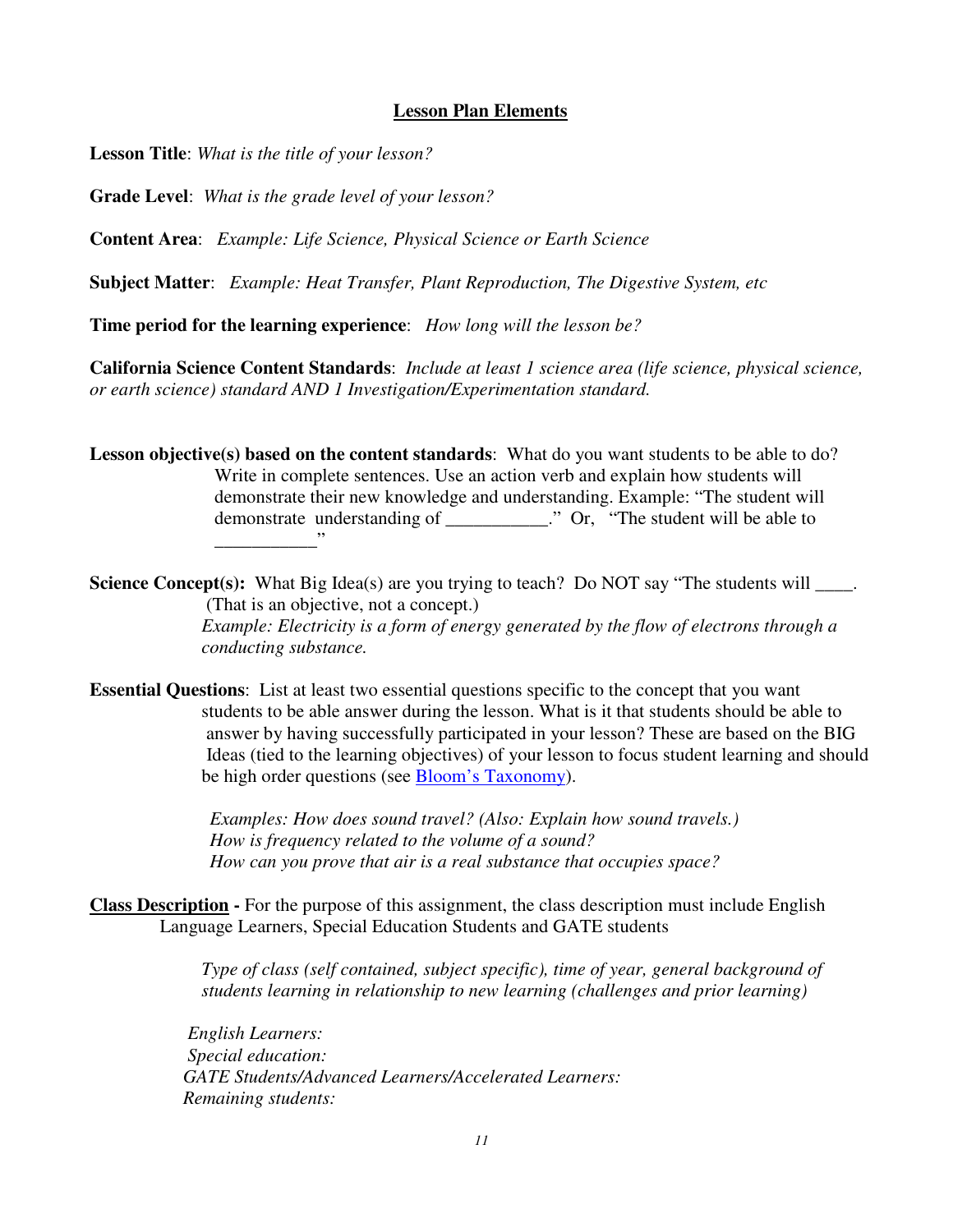#### **Lesson Plan Elements**

 **Lesson Title**: *What is the title of your lesson?* 

**Grade Level**: *What is the grade level of your lesson?* 

**Content Area**: *Example: Life Science, Physical Science or Earth Science* 

**Subject Matter**: *Example: Heat Transfer, Plant Reproduction, The Digestive System, etc* 

 **Time period for the learning experience**: *How long will the lesson be?* 

 **California Science Content Standards**: *Include at least 1 science area (life science, physical science, or earth science) standard AND 1 Investigation/Experimentation standard.* 

Lesson objective(s) based on the content standards: What do you want students to be able to do? Write in complete sentences. Use an action verb and explain how students will demonstrate their new knowledge and understanding. Example: "The student will demonstrate understanding of \_\_\_\_\_\_\_\_\_\_\_." Or, "The student will be able to \_\_\_\_\_\_\_\_\_\_\_"

**Science Concept(s):** What Big Idea(s) are you trying to teach? Do NOT say "The students will \_\_\_\_. (That is an objective, not a concept.)  *Example: Electricity is a form of energy generated by the flow of electrons through a conducting substance.* 

**Essential Questions**: List at least two essential questions specific to the concept that you want Ideas (tied to the learning objectives) of your lesson to focus student learning and should be high order questions (see **Bloom's Taxonomy**). students to be able answer during the lesson. What is it that students should be able to answer by having successfully participated in your lesson? These are based on the BIG

> Examples: How does sound travel? (Also: Explain how sound travels.)  *How is frequency related to the volume of a sound? How can you prove that air is a real substance that occupies space?*

 **Class Description -** For the purpose of this assignment, the class description must include English Language Learners, Special Education Students and GATE students

> *Type of class (self contained, subject specific), time of year, general background of students learning in relationship to new learning (challenges and prior learning)*

*English Learners: Special education: GATE Students/Advanced Learners/Accelerated Learners: Remaining students:*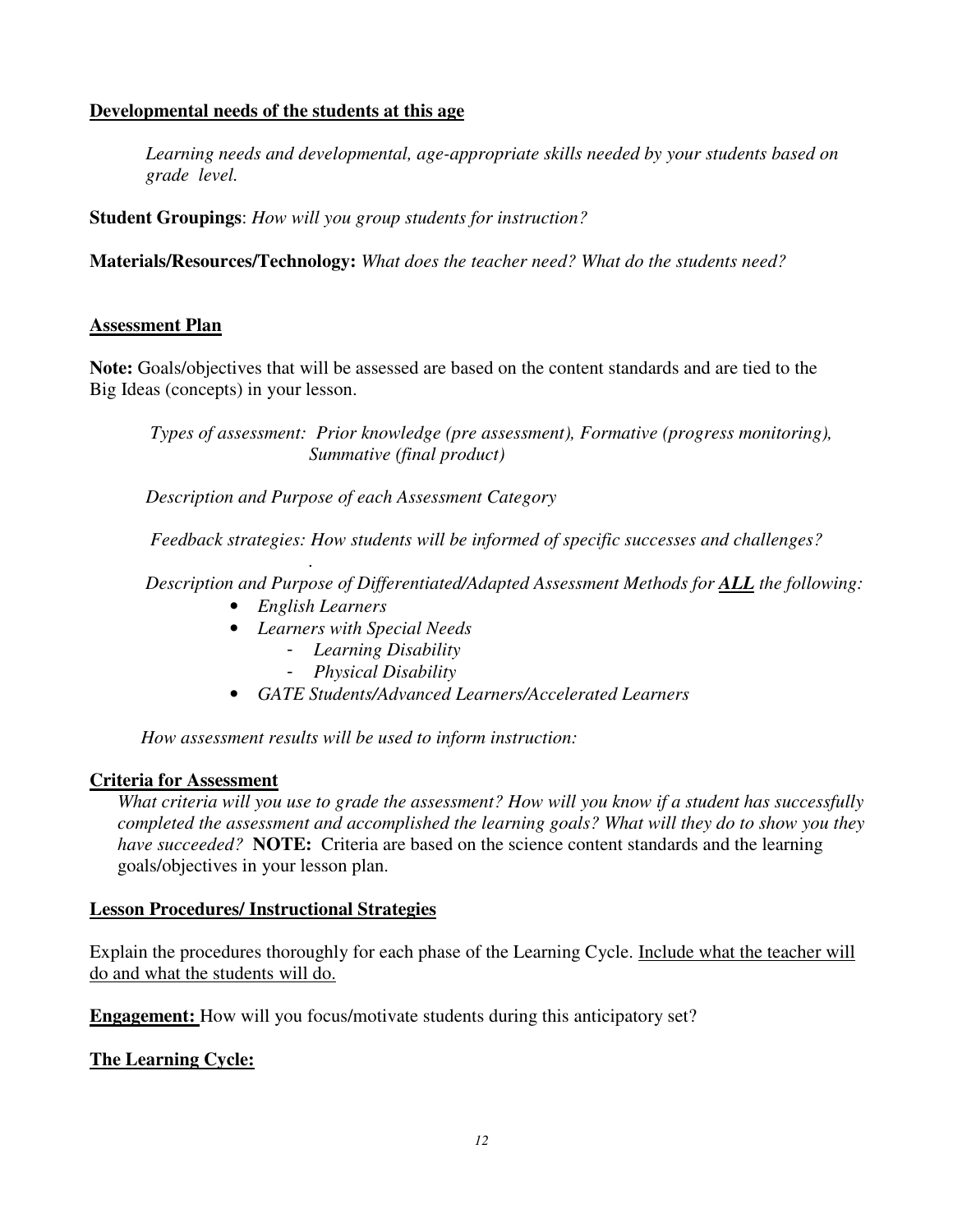## **Developmental needs of the students at this age**

 *Learning needs and developmental, age-appropriate skills needed by your students based on grade level.* 

 **Student Groupings**: *How will you group students for instruction?* 

 **Materials/Resources/Technology:** *What does the teacher need? What do the students need?* 

### **Assessment Plan**

 **Note:** Goals/objectives that will be assessed are based on the content standards and are tied to the Big Ideas (concepts) in your lesson.

*Types of assessment: Prior knowledge (pre assessment), Formative (progress monitoring), Summative (final product)* 

*Description and Purpose of each Assessment Category* 

*Feedback strategies: How students will be informed of specific successes and challenges?* 

*. Description and Purpose of Differentiated/Adapted Assessment Methods for ALL the following:* 

- *English Learners*
- • *Learners with Special Needs* 
	- *Learning Disability*
	- *Physical Disability*
- *GATE Students/Advanced Learners/Accelerated Learners*

*How assessment results will be used to inform instruction:* 

#### **Criteria for Assessment**

What criteria will you use to grade the assessment? How will you know if a student has successfully  *completed the assessment and accomplished the learning goals? What will they do to show you they have succeeded?* **NOTE:** Criteria are based on the science content standards and the learning goals/objectives in your lesson plan.

#### **Lesson Procedures/ Instructional Strategies**

Explain the procedures thoroughly for each phase of the Learning Cycle. Include what the teacher will do and what the students will do.

**Engagement:** How will you focus/motivate students during this anticipatory set?

#### **The Learning Cycle:**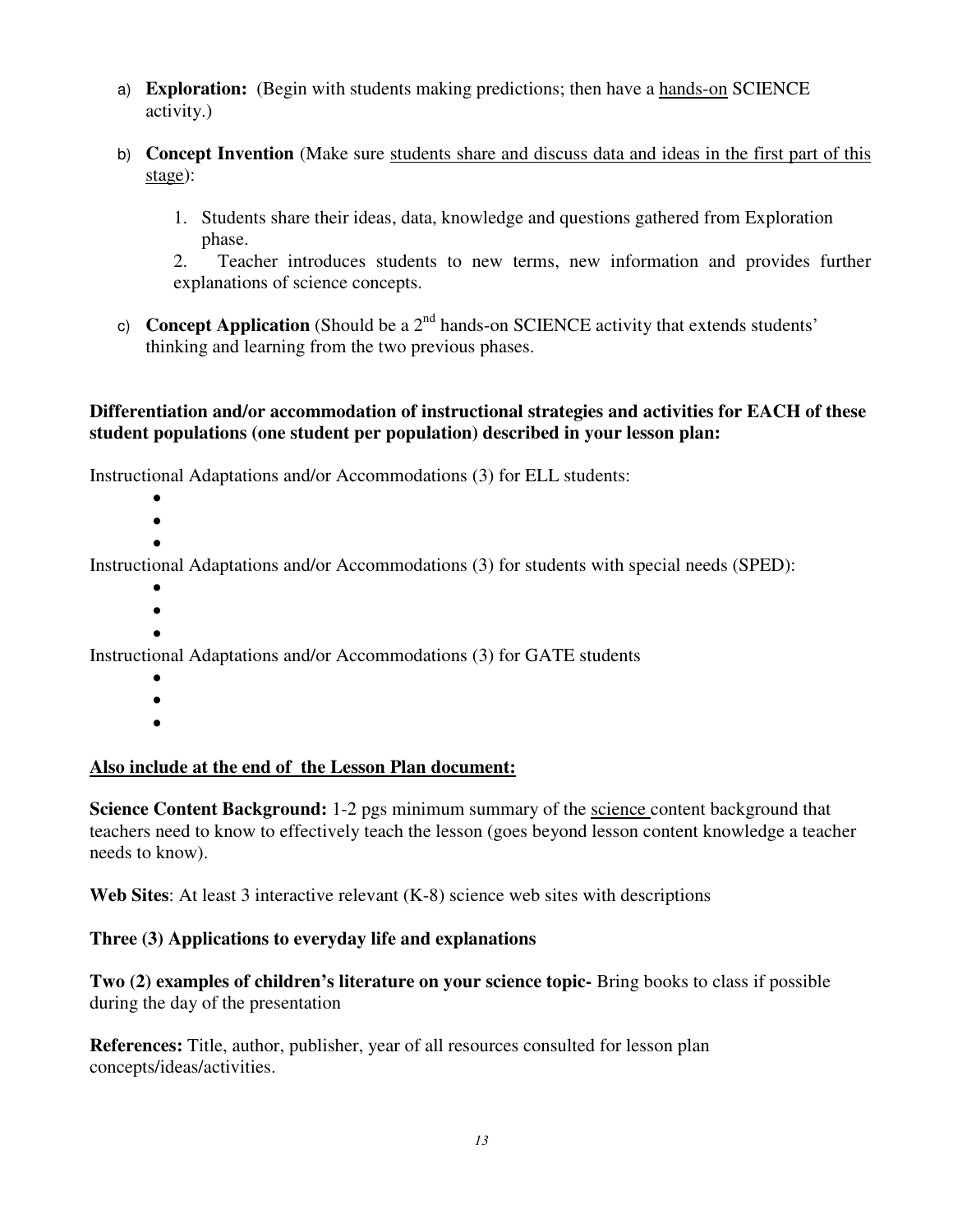- a) **Exploration:** (Begin with students making predictions; then have a hands-on SCIENCE activity.)
- b) **Concept Invention** (Make sure students share and discuss data and ideas in the first part of this stage):
	- 1. Students share their ideas, data, knowledge and questions gathered from Exploration phase.

 $2.$  explanations of science concepts. 2. Teacher introduces students to new terms, new information and provides further

c) **Concept Application** (Should be a  $2<sup>nd</sup>$  hands-on SCIENCE activity that extends students' thinking and learning from the two previous phases.

## **Differentiation and/or accommodation of instructional strategies and activities for EACH of these student populations (one student per population) described in your lesson plan:**

Instructional Adaptations and/or Accommodations (3) for ELL students:

- •
- •

Instructional Adaptations and/or Accommodations (3) for students with special needs (SPED):

- •
- $\bullet$ •

Instructional Adaptations and/or Accommodations (3) for GATE students

- •
- •
- •

## **Also include at the end of the Lesson Plan document:**

**Science Content Background:** 1-2 pgs minimum summary of the science content background that teachers need to know to effectively teach the lesson (goes beyond lesson content knowledge a teacher needs to know).

**Web Sites**: At least 3 interactive relevant (K-8) science web sites with descriptions

## **Three (3) Applications to everyday life and explanations**

 **Two (2) examples of children's literature on your science topic-** Bring books to class if possible during the day of the presentation

 **References:** Title, author, publisher, year of all resources consulted for lesson plan concepts/ideas/activities.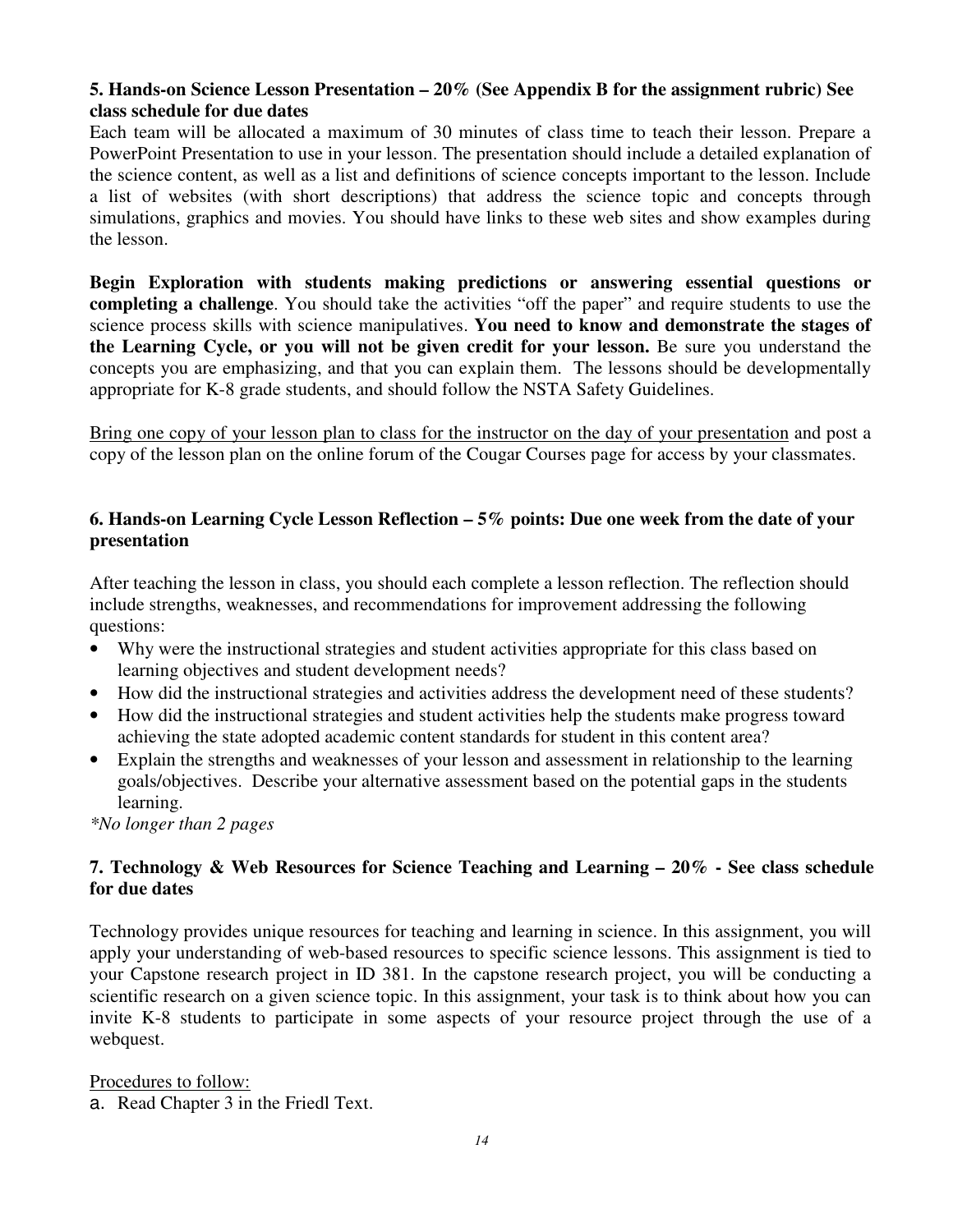## **5. Hands-on Science Lesson Presentation – 20% (See Appendix B for the assignment rubric) See class schedule for due dates**

 Each team will be allocated a maximum of 30 minutes of class time to teach their lesson. Prepare a PowerPoint Presentation to use in your lesson. The presentation should include a detailed explanation of the science content, as well as a list and definitions of science concepts important to the lesson. Include a list of websites (with short descriptions) that address the science topic and concepts through simulations, graphics and movies. You should have links to these web sites and show examples during the lesson.

 **Begin Exploration with students making predictions or answering essential questions or completing a challenge**. You should take the activities "off the paper" and require students to use the science process skills with science manipulatives. **You need to know and demonstrate the stages of the Learning Cycle, or you will not be given credit for your lesson.** Be sure you understand the concepts you are emphasizing, and that you can explain them. The lessons should be developmentally appropriate for K-8 grade students, and should follow the NSTA Safety Guidelines.

Bring one copy of your lesson plan to class for the instructor on the day of your presentation and post a copy of the lesson plan on the online forum of the Cougar Courses page for access by your classmates.

## **6. Hands-on Learning Cycle Lesson Reflection – 5% points: Due one week from the date of your presentation**

 After teaching the lesson in class, you should each complete a lesson reflection. The reflection should include strengths, weaknesses, and recommendations for improvement addressing the following questions:

- • Why were the instructional strategies and student activities appropriate for this class based on learning objectives and student development needs?
- • How did the instructional strategies and activities address the development need of these students?
- • How did the instructional strategies and student activities help the students make progress toward achieving the state adopted academic content standards for student in this content area?
- • Explain the strengths and weaknesses of your lesson and assessment in relationship to the learning goals/objectives. Describe your alternative assessment based on the potential gaps in the students learning.

 *\*No longer than 2 pages* 

## **7. Technology & Web Resources for Science Teaching and Learning – 20% - See class schedule for due dates**

 Technology provides unique resources for teaching and learning in science. In this assignment, you will apply your understanding of web-based resources to specific science lessons. This assignment is tied to your Capstone research project in ID 381. In the capstone research project, you will be conducting a scientific research on a given science topic. In this assignment, your task is to think about how you can invite K-8 students to participate in some aspects of your resource project through the use of a webquest.

### Procedures to follow:

a. Read Chapter 3 in the Friedl Text.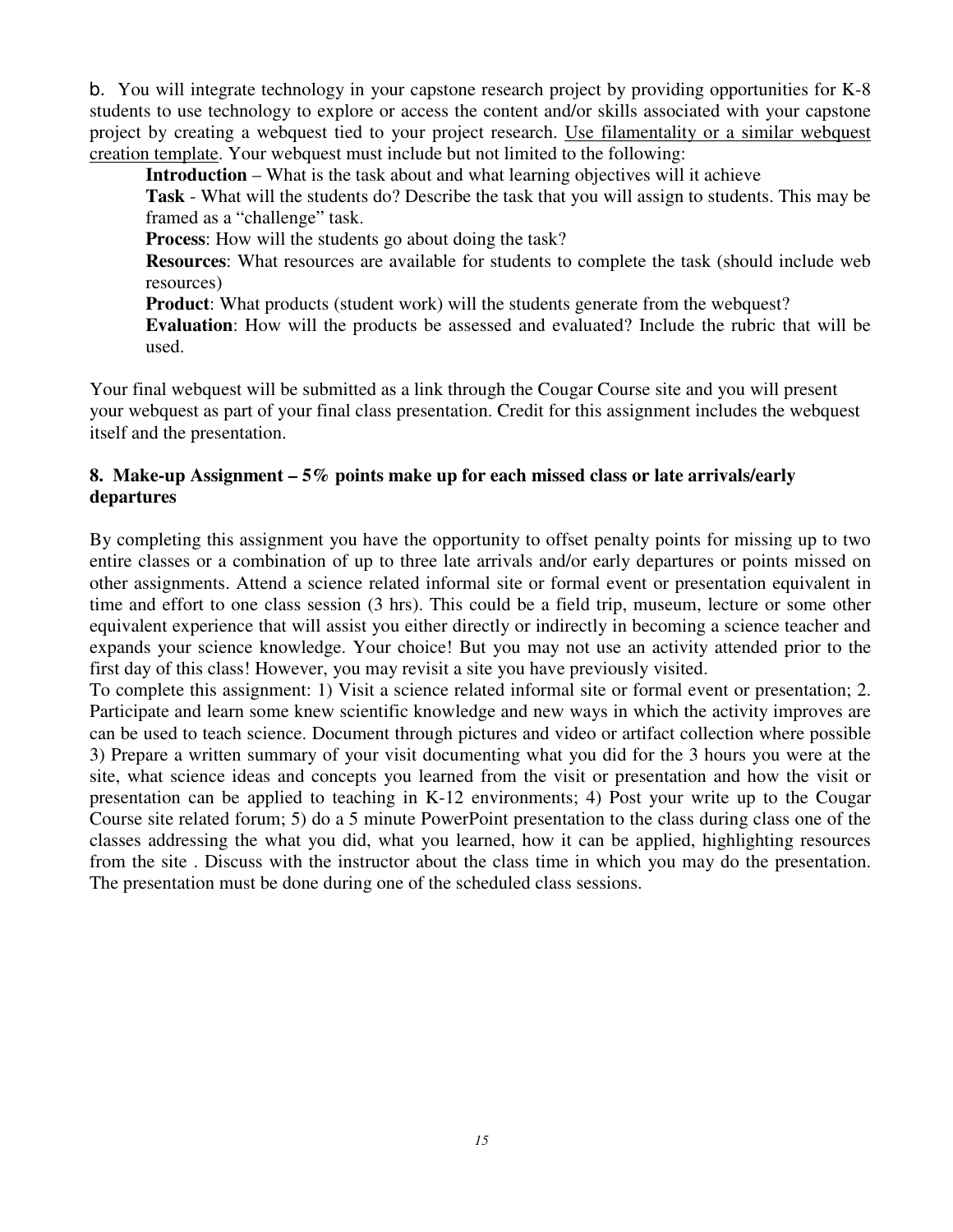b. You will integrate technology in your capstone research project by providing opportunities for K-8 students to use technology to explore or access the content and/or skills associated with your capstone project by creating a webquest tied to your project research. Use filamentality or a similar webquest creation template. Your webquest must include but not limited to the following:

**Introduction** – What is the task about and what learning objectives will it achieve

 **Task** - What will the students do? Describe the task that you will assign to students. This may be framed as a "challenge" task.

**Process**: How will the students go about doing the task?

 **Resources**: What resources are available for students to complete the task (should include web resources)

**Product**: What products (student work) will the students generate from the webquest?

 **Evaluation**: How will the products be assessed and evaluated? Include the rubric that will be used.

 Your final webquest will be submitted as a link through the Cougar Course site and you will present your webquest as part of your final class presentation. Credit for this assignment includes the webquest itself and the presentation.

### **8. Make-up Assignment – 5% points make up for each missed class or late arrivals/early departures**

 By completing this assignment you have the opportunity to offset penalty points for missing up to two entire classes or a combination of up to three late arrivals and/or early departures or points missed on other assignments. Attend a science related informal site or formal event or presentation equivalent in time and effort to one class session (3 hrs). This could be a field trip, museum, lecture or some other equivalent experience that will assist you either directly or indirectly in becoming a science teacher and expands your science knowledge. Your choice! But you may not use an activity attended prior to the first day of this class! However, you may revisit a site you have previously visited.

 To complete this assignment: 1) Visit a science related informal site or formal event or presentation; 2. Participate and learn some knew scientific knowledge and new ways in which the activity improves are can be used to teach science. Document through pictures and video or artifact collection where possible 3) Prepare a written summary of your visit documenting what you did for the 3 hours you were at the site, what science ideas and concepts you learned from the visit or presentation and how the visit or presentation can be applied to teaching in K-12 environments; 4) Post your write up to the Cougar Course site related forum; 5) do a 5 minute PowerPoint presentation to the class during class one of the classes addressing the what you did, what you learned, how it can be applied, highlighting resources from the site . Discuss with the instructor about the class time in which you may do the presentation. The presentation must be done during one of the scheduled class sessions.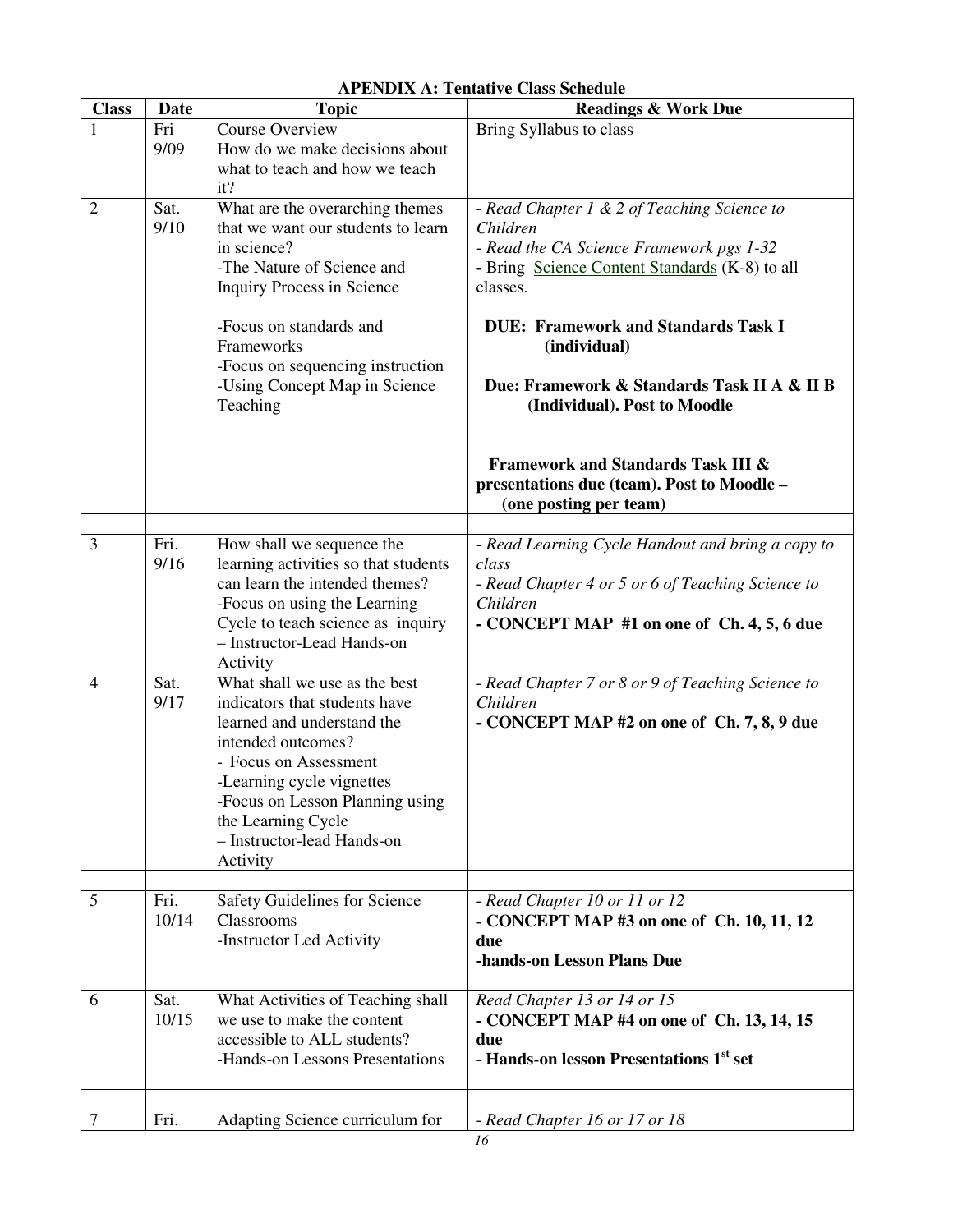| <b>Class</b>   | Date          | <b>Topic</b>                                                                                                                                                                                                                                                                      | Al Etypia A. Tentative Class beneaute<br><b>Readings &amp; Work Due</b>                                                                                                                                                                                                                                        |
|----------------|---------------|-----------------------------------------------------------------------------------------------------------------------------------------------------------------------------------------------------------------------------------------------------------------------------------|----------------------------------------------------------------------------------------------------------------------------------------------------------------------------------------------------------------------------------------------------------------------------------------------------------------|
| 1              | Fri<br>9/09   | Course Overview<br>How do we make decisions about<br>what to teach and how we teach<br>it?                                                                                                                                                                                        | Bring Syllabus to class                                                                                                                                                                                                                                                                                        |
| $\overline{2}$ | Sat.<br>9/10  | What are the overarching themes<br>that we want our students to learn<br>in science?<br>-The Nature of Science and<br><b>Inquiry Process in Science</b><br>-Focus on standards and<br>Frameworks<br>-Focus on sequencing instruction<br>-Using Concept Map in Science<br>Teaching | - Read Chapter 1 & 2 of Teaching Science to<br>Children<br>- Read the CA Science Framework pgs 1-32<br>- Bring Science Content Standards (K-8) to all<br>classes.<br><b>DUE: Framework and Standards Task I</b><br>(individual)<br>Due: Framework & Standards Task II A & II B<br>(Individual). Post to Moodle |
|                |               |                                                                                                                                                                                                                                                                                   | <b>Framework and Standards Task III &amp;</b><br>presentations due (team). Post to Moodle -<br>(one posting per team)                                                                                                                                                                                          |
| 3              | Fri.<br>9/16  | How shall we sequence the<br>learning activities so that students<br>can learn the intended themes?<br>-Focus on using the Learning<br>Cycle to teach science as inquiry<br>- Instructor-Lead Hands-on<br>Activity                                                                | - Read Learning Cycle Handout and bring a copy to<br>class<br>- Read Chapter 4 or 5 or 6 of Teaching Science to<br>Children<br>- CONCEPT MAP #1 on one of Ch. 4, 5, 6 due                                                                                                                                      |
| $\overline{4}$ | Sat.<br>9/17  | What shall we use as the best<br>indicators that students have<br>learned and understand the<br>intended outcomes?<br>- Focus on Assessment<br>-Learning cycle vignettes<br>-Focus on Lesson Planning using<br>the Learning Cycle<br>- Instructor-lead Hands-on<br>Activity       | - Read Chapter 7 or 8 or 9 of Teaching Science to<br>Children<br>- CONCEPT MAP #2 on one of Ch. 7, 8, 9 due                                                                                                                                                                                                    |
| 5              | Fri.<br>10/14 | Safety Guidelines for Science<br>Classrooms<br>-Instructor Led Activity                                                                                                                                                                                                           | - Read Chapter 10 or 11 or 12<br>- CONCEPT MAP #3 on one of Ch. 10, 11, 12<br>due<br>-hands-on Lesson Plans Due                                                                                                                                                                                                |
| 6              | Sat.<br>10/15 | What Activities of Teaching shall<br>we use to make the content<br>accessible to ALL students?<br>-Hands-on Lessons Presentations                                                                                                                                                 | Read Chapter 13 or 14 or 15<br>- CONCEPT MAP #4 on one of Ch. 13, 14, 15<br>due<br>- Hands-on lesson Presentations 1 <sup>st</sup> set                                                                                                                                                                         |
| 7              | Fri.          | Adapting Science curriculum for                                                                                                                                                                                                                                                   | - Read Chapter 16 or 17 or 18                                                                                                                                                                                                                                                                                  |

#### **APENDIX A: Tentative Class Schedule**